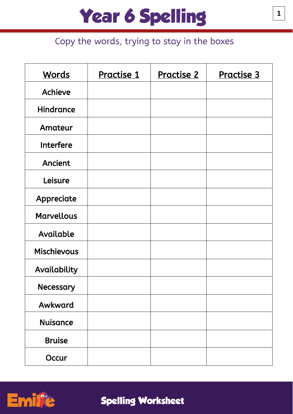#### Copy the words, trying to stay in the boxes

| <b>Words</b>       | Practise 1 | <u>Practise 2</u> | <u>Practise 3</u> |
|--------------------|------------|-------------------|-------------------|
| Achieve            |            |                   |                   |
| <b>Hindrance</b>   |            |                   |                   |
| Amateur            |            |                   |                   |
| <b>Interfere</b>   |            |                   |                   |
| Ancient            |            |                   |                   |
| Leisure            |            |                   |                   |
| Appreciate         |            |                   |                   |
| <b>Marvellous</b>  |            |                   |                   |
| Available          |            |                   |                   |
| <b>Mischievous</b> |            |                   |                   |
| Availability       |            |                   |                   |
| Necessary          |            |                   |                   |
| Awkward            |            |                   |                   |
| <b>Nuisance</b>    |            |                   |                   |
| <b>Bruise</b>      |            |                   |                   |
| Occur              |            |                   |                   |

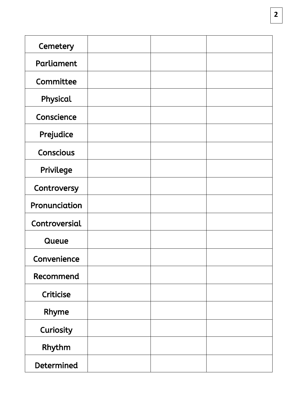| Cemetery          |  |  |
|-------------------|--|--|
| Parliament        |  |  |
| Committee         |  |  |
| Physical          |  |  |
| Conscience        |  |  |
| Prejudice         |  |  |
| <b>Conscious</b>  |  |  |
| Privilege         |  |  |
| Controversy       |  |  |
| Pronunciation     |  |  |
| Controversial     |  |  |
| Queue             |  |  |
| Convenience       |  |  |
| Recommend         |  |  |
| Criticise         |  |  |
| Rhyme             |  |  |
| Curiosity         |  |  |
| Rhythm            |  |  |
| <b>Determined</b> |  |  |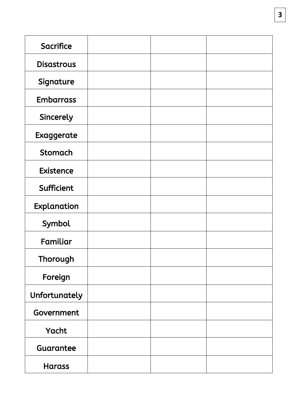| <b>Sacrifice</b>  |  |  |
|-------------------|--|--|
| <b>Disastrous</b> |  |  |
| Signature         |  |  |
| <b>Embarrass</b>  |  |  |
| Sincerely         |  |  |
| Exaggerate        |  |  |
| <b>Stomach</b>    |  |  |
| <b>Existence</b>  |  |  |
| Sufficient        |  |  |
| Explanation       |  |  |
| Symbol            |  |  |
| Familiar          |  |  |
| Thorough          |  |  |
| Foreign           |  |  |
| Unfortunately     |  |  |
| Government        |  |  |
| Yacht             |  |  |
| Guarantee         |  |  |
| <b>Harass</b>     |  |  |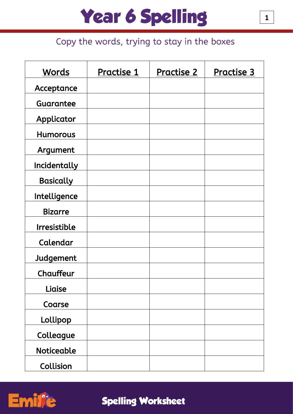### Copy the words, trying to stay in the boxes

| <b>Words</b>        | Practise 1 | <u>Practise 2</u> | <u>Practise 3</u> |
|---------------------|------------|-------------------|-------------------|
| Acceptance          |            |                   |                   |
| Guarantee           |            |                   |                   |
| Applicator          |            |                   |                   |
| <b>Humorous</b>     |            |                   |                   |
| Argument            |            |                   |                   |
| Incidentally        |            |                   |                   |
| <b>Basically</b>    |            |                   |                   |
| Intelligence        |            |                   |                   |
| <b>Bizarre</b>      |            |                   |                   |
| <b>Irresistible</b> |            |                   |                   |
| Calendar            |            |                   |                   |
| Judgement           |            |                   |                   |
| Chauffeur           |            |                   |                   |
| Liaise              |            |                   |                   |
| Coarse              |            |                   |                   |
| Lollipop            |            |                   |                   |
| Colleague           |            |                   |                   |
| <b>Noticeable</b>   |            |                   |                   |
| Collision           |            |                   |                   |

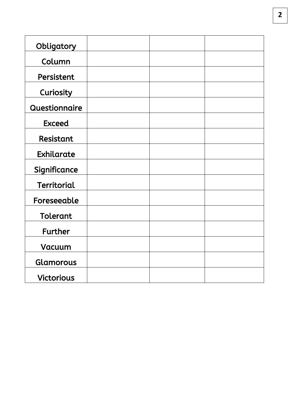| Obligatory         |  |  |
|--------------------|--|--|
| Column             |  |  |
| Persistent         |  |  |
| Curiosity          |  |  |
| Questionnaire      |  |  |
| <b>Exceed</b>      |  |  |
| Resistant          |  |  |
| Exhilarate         |  |  |
| Significance       |  |  |
| <b>Territorial</b> |  |  |
| Foreseeable        |  |  |
| <b>Tolerant</b>    |  |  |
| <b>Further</b>     |  |  |
| Vacuum             |  |  |
| Glamorous          |  |  |
| <b>Victorious</b>  |  |  |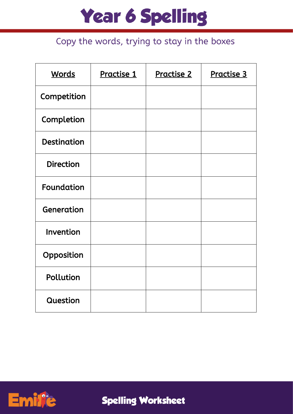### Copy the words, trying to stay in the boxes

| <b>Words</b>       | Practise 1 | <u>Practise 2</u> | Practise 3 |
|--------------------|------------|-------------------|------------|
| Competition        |            |                   |            |
| Completion         |            |                   |            |
| <b>Destination</b> |            |                   |            |
| <b>Direction</b>   |            |                   |            |
| <b>Foundation</b>  |            |                   |            |
| Generation         |            |                   |            |
| Invention          |            |                   |            |
| Opposition         |            |                   |            |
| Pollution          |            |                   |            |
| Question           |            |                   |            |

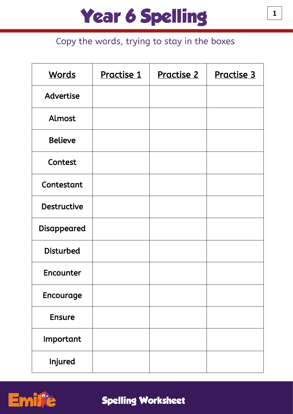### Copy the words, trying to stay in the boxes

| <b>Words</b>       | Practise 1 | <u>Practise 2</u> | Practise 3 |
|--------------------|------------|-------------------|------------|
| <b>Advertise</b>   |            |                   |            |
| Almost             |            |                   |            |
| <b>Believe</b>     |            |                   |            |
| Contest            |            |                   |            |
| Contestant         |            |                   |            |
| <b>Destructive</b> |            |                   |            |
| <b>Disappeared</b> |            |                   |            |
| <b>Disturbed</b>   |            |                   |            |
| Encounter          |            |                   |            |
| Encourage          |            |                   |            |
| <b>Ensure</b>      |            |                   |            |
| Important          |            |                   |            |
| Injured            |            |                   |            |

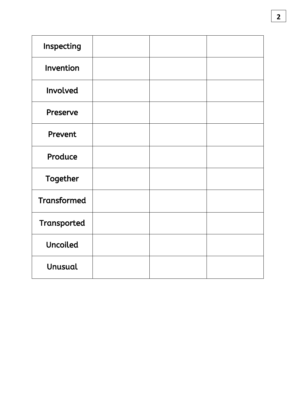| Inspecting         |  |  |
|--------------------|--|--|
| Invention          |  |  |
| Involved           |  |  |
| Preserve           |  |  |
| Prevent            |  |  |
| Produce            |  |  |
| Together           |  |  |
| <b>Transformed</b> |  |  |
| Transported        |  |  |
| <b>Uncoiled</b>    |  |  |
| <b>Unusual</b>     |  |  |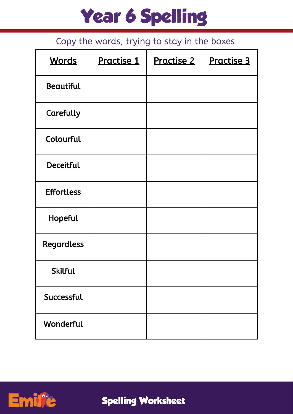### Copy the words, trying to stay in the boxes

| <b>Words</b>      | Practise 1 | <u>Practise 2</u> | Practise 3 |
|-------------------|------------|-------------------|------------|
| <b>Beautiful</b>  |            |                   |            |
| Carefully         |            |                   |            |
| Colourful         |            |                   |            |
| <b>Deceitful</b>  |            |                   |            |
| <b>Effortless</b> |            |                   |            |
| Hopeful           |            |                   |            |
| <b>Regardless</b> |            |                   |            |
| <b>Skilful</b>    |            |                   |            |
| Successful        |            |                   |            |
| Wonderful         |            |                   |            |

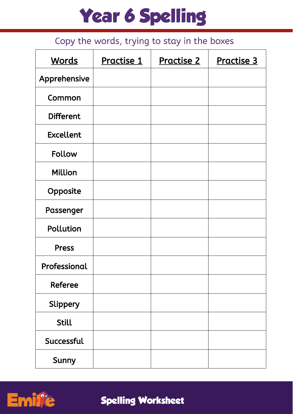### Copy the words, trying to stay in the boxes

| <b>Words</b>     | Practise 1 | <b>Practise 2</b> | Practise 3 |
|------------------|------------|-------------------|------------|
| Apprehensive     |            |                   |            |
| Common           |            |                   |            |
| <b>Different</b> |            |                   |            |
| <b>Excellent</b> |            |                   |            |
| <b>Follow</b>    |            |                   |            |
| <b>Million</b>   |            |                   |            |
| Opposite         |            |                   |            |
| Passenger        |            |                   |            |
| Pollution        |            |                   |            |
| <b>Press</b>     |            |                   |            |
| Professional     |            |                   |            |
| <b>Referee</b>   |            |                   |            |
| Slippery         |            |                   |            |
| <b>Still</b>     |            |                   |            |
| Successful       |            |                   |            |
| Sunny            |            |                   |            |

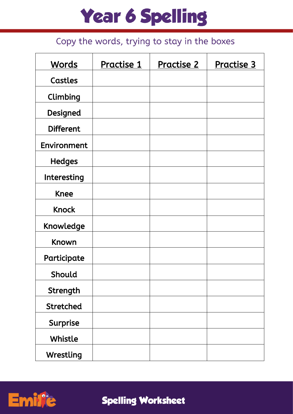### Copy the words, trying to stay in the boxes

| <b>Words</b>     | Practise 1 | <b>Practise 2</b> | <b>Practise 3</b> |
|------------------|------------|-------------------|-------------------|
| Castles          |            |                   |                   |
| Climbing         |            |                   |                   |
| Designed         |            |                   |                   |
| <b>Different</b> |            |                   |                   |
| Environment      |            |                   |                   |
| <b>Hedges</b>    |            |                   |                   |
| Interesting      |            |                   |                   |
| <b>Knee</b>      |            |                   |                   |
| <b>Knock</b>     |            |                   |                   |
| Knowledge        |            |                   |                   |
| Known            |            |                   |                   |
| Participate      |            |                   |                   |
| Should           |            |                   |                   |
| Strength         |            |                   |                   |
| <b>Stretched</b> |            |                   |                   |
| Surprise         |            |                   |                   |
| Whistle          |            |                   |                   |
| Wrestling        |            |                   |                   |

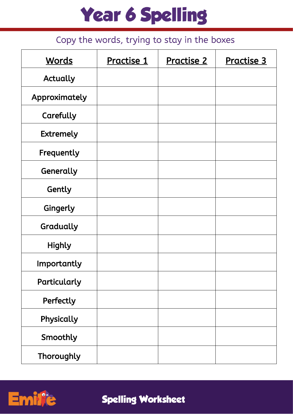### Copy the words, trying to stay in the boxes

| <b>Words</b>     | Practise 1 | <u>Practise 2</u> | <b>Practise 3</b> |
|------------------|------------|-------------------|-------------------|
| <b>Actually</b>  |            |                   |                   |
| Approximately    |            |                   |                   |
| Carefully        |            |                   |                   |
| <b>Extremely</b> |            |                   |                   |
| Frequently       |            |                   |                   |
| Generally        |            |                   |                   |
| Gently           |            |                   |                   |
| Gingerly         |            |                   |                   |
| Gradually        |            |                   |                   |
| <b>Highly</b>    |            |                   |                   |
| Importantly      |            |                   |                   |
| Particularly     |            |                   |                   |
| Perfectly        |            |                   |                   |
| Physically       |            |                   |                   |
| Smoothly         |            |                   |                   |
| Thoroughly       |            |                   |                   |

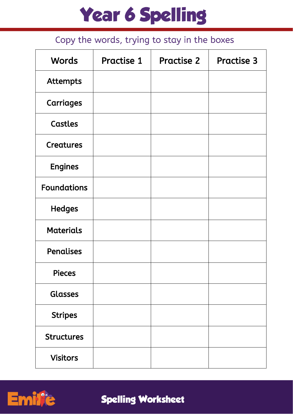#### Copy the words, trying to stay in the boxes

| <b>Words</b>       | <b>Practise 1</b> | <b>Practise 2</b> | <b>Practise 3</b> |
|--------------------|-------------------|-------------------|-------------------|
| <b>Attempts</b>    |                   |                   |                   |
| <b>Carriages</b>   |                   |                   |                   |
| Castles            |                   |                   |                   |
| <b>Creatures</b>   |                   |                   |                   |
| <b>Engines</b>     |                   |                   |                   |
| <b>Foundations</b> |                   |                   |                   |
| <b>Hedges</b>      |                   |                   |                   |
| <b>Materials</b>   |                   |                   |                   |
| <b>Penalises</b>   |                   |                   |                   |
| <b>Pieces</b>      |                   |                   |                   |
| <b>Glasses</b>     |                   |                   |                   |
| <b>Stripes</b>     |                   |                   |                   |
| <b>Structures</b>  |                   |                   |                   |
| <b>Visitors</b>    |                   |                   |                   |

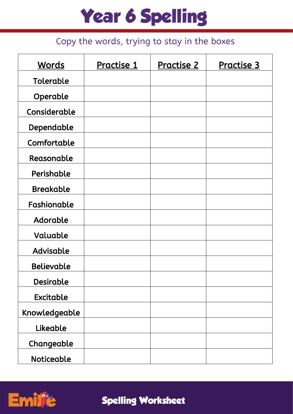### Copy the words, trying to stay in the boxes

| <b>Words</b>      | Practise 1 | Practise 2 | Practise 3 |
|-------------------|------------|------------|------------|
| Tolerable         |            |            |            |
| Operable          |            |            |            |
| Considerable      |            |            |            |
| Dependable        |            |            |            |
| Comfortable       |            |            |            |
| Reasonable        |            |            |            |
| Perishable        |            |            |            |
| <b>Breakable</b>  |            |            |            |
| Fashionable       |            |            |            |
| Adorable          |            |            |            |
| Valuable          |            |            |            |
| Advisable         |            |            |            |
| <b>Believable</b> |            |            |            |
| <b>Desirable</b>  |            |            |            |
| <b>Excitable</b>  |            |            |            |
| Knowledgeable     |            |            |            |
| Likeable          |            |            |            |
| Changeable        |            |            |            |
| <b>Noticeable</b> |            |            |            |

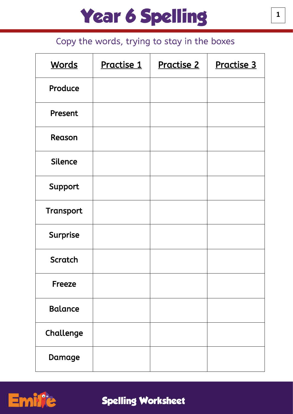#### Copy the words, trying to stay in the boxes

| <b>Words</b>    | Practise 1 | <u>Practise 2</u> | Practise 3 |
|-----------------|------------|-------------------|------------|
| Produce         |            |                   |            |
| Present         |            |                   |            |
| Reason          |            |                   |            |
| <b>Silence</b>  |            |                   |            |
| Support         |            |                   |            |
| Transport       |            |                   |            |
| <b>Surprise</b> |            |                   |            |
| <b>Scratch</b>  |            |                   |            |
| <b>Freeze</b>   |            |                   |            |
| <b>Balance</b>  |            |                   |            |
| Challenge       |            |                   |            |
| Damage          |            |                   |            |

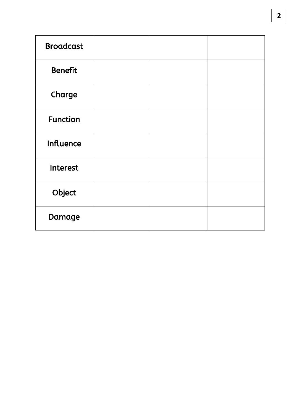| <b>Broadcast</b> |  |  |
|------------------|--|--|
| <b>Benefit</b>   |  |  |
| Charge           |  |  |
| <b>Function</b>  |  |  |
| <b>Influence</b> |  |  |
| <b>Interest</b>  |  |  |
| Object           |  |  |
| Damage           |  |  |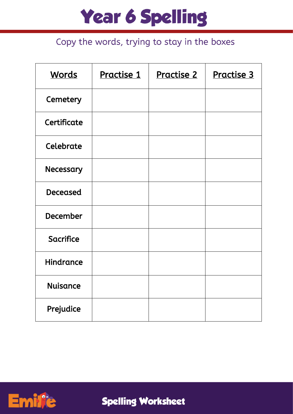#### Copy the words, trying to stay in the boxes

| <b>Words</b>     | Practise 1 | Practise 2 | Practise 3 |
|------------------|------------|------------|------------|
| Cemetery         |            |            |            |
| Certificate      |            |            |            |
| Celebrate        |            |            |            |
| Necessary        |            |            |            |
| <b>Deceased</b>  |            |            |            |
| <b>December</b>  |            |            |            |
| <b>Sacrifice</b> |            |            |            |
| <b>Hindrance</b> |            |            |            |
| <b>Nuisance</b>  |            |            |            |
| Prejudice        |            |            |            |

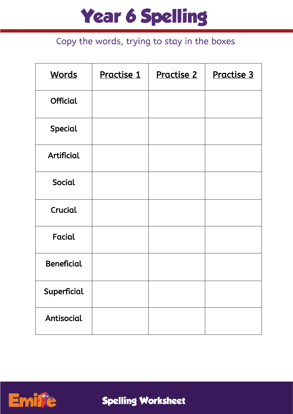#### Copy the words, trying to stay in the boxes

| <b>Words</b>      | Practise 1 | <u>Practise 2</u> | Practise 3 |
|-------------------|------------|-------------------|------------|
| <b>Official</b>   |            |                   |            |
| Special           |            |                   |            |
| <b>Artificial</b> |            |                   |            |
| Social            |            |                   |            |
| Crucial           |            |                   |            |
| Facial            |            |                   |            |
| <b>Beneficial</b> |            |                   |            |
| Superficial       |            |                   |            |
| Antisocial        |            |                   |            |